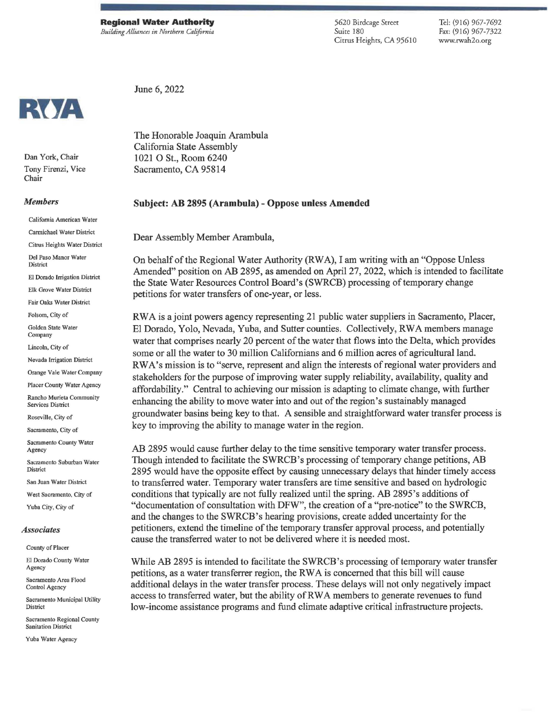June 6, 2022

5620 Birdcage Street Suite 180 Citrus Heights, CA 95610

Tel: (916) 967-7692 Fax: (916) 967-7322 www.rwah2o.org



Dan York, Chair Tony Firenzi, Vice Chair

## *Members*

California American Water

Carmichael Water District

Citrus Heights Water District

Del Paso Manor Water District

El Dorado Inigation District

Elk Grove Water District

Fair Oaks Water District

Folsom, City of

Golden State Water Company

Lincoln, City of

Nevada Irrigation District

Orange Vale Water Company

Placer County Water Agency

Rancho Murieta Community Services District

Roseville, City of

Sacramento, City of

Sacramento County Water Agency

Sacramento Suburban Water District

San Juan Water District

West Sacramento, City of

Yuba City, City of

## *Associates*

County of Placer

El Dorado County Water Agency

Sacramento Area Flood Control Agency

Sacramento Municipal Utility **District** 

Sacramento Regional County Sanitation District

Yuba Water Agency

The Honorable Joaquin Arambula California State Assembly 1021 0 St., Room 6240 Sacramento, CA 95814

## **Subject: AB 2895 (Arambula)- Oppose unless Amended**

Dear Assembly Member Arambula,

On behalf of the Regional Water Authority (RWA), I am writing with an "Oppose Unless Amended" position on AB 2895, as amended on April 27, 2022, which is intended to facilitate the State Water Resources Control Board's (SWRCB) processing of temporary change petitions for water transfers of one-year, or less.

**RWA** is a joint powers agency representing 21 public water suppliers in Sacramento, Placer, El Dorado, Yolo, Nevada, Yuba, and Sutter counties. Collectively, RW A members manage water that comprises nearly 20 percent of the water that flows into the Delta, which provides some or all the water to 30 million Californians and 6 million acres of agricultural land. **RW** A's mission is to "serve, represent and align the interests of regional water providers and stakeholders for the purpose of improving water supply reliability, availability, quality and affordability." Central to achieving our mission is adapting to climate change, with further enhancing the ability to move water into and out of the region's sustainably managed groundwater basins being key to that. A sensible and straightforward water transfer process is key to improving the ability to manage water in the region.

AB 2895 would cause further delay to the time sensitive temporary water transfer process. Though intended to facilitate the SWRCB's processing of temporary change petitions, AB 2895 would have the opposite effect by causing unnecessary delays that hinder timely access to transferred water. Temporary water transfers are time sensitive and based on hydrologic conditions that typically are not fully realized until the spring. AB 2895's additions of "documentation of consultation with DFW", the creation of a "pre-notice" to the SWRCB, and the changes to the SWRCB's hearing provisions, create added uncertainty for the petitioners, extend the timeline of the temporary transfer approval process, and potentially cause the transferred water to not be delivered where it is needed most.

While AB 2895 is intended to facilitate the SWRCB's processing of temporary water transfer petitions, as a water transferrer region, the RWA is concerned that this bill will cause additional delays in the water transfer process. These delays will not only negatively impact access to transferred water, but the ability ofRWA members to generate revenues to fund low-income assistance programs and fund climate adaptive critical infrastructure projects.